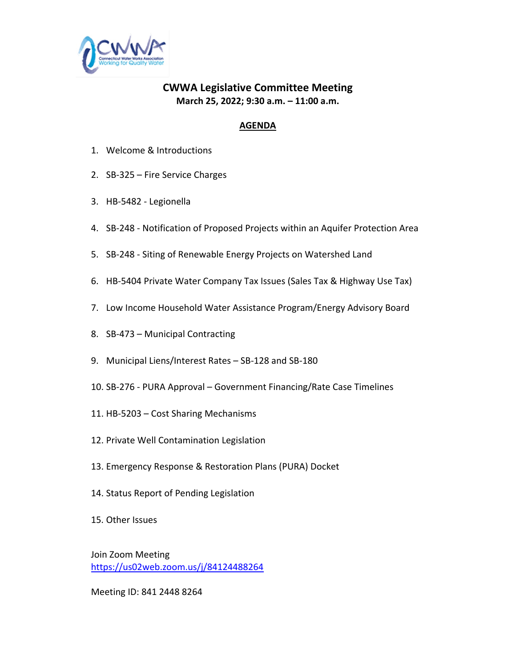

## **CWWA Legislative Committee Meeting March 25, 2022; 9:30 a.m. – 11:00 a.m.**

### **AGENDA**

- 1. Welcome & Introductions
- 2. SB-325 Fire Service Charges
- 3. HB-5482 Legionella
- 4. SB-248 Notification of Proposed Projects within an Aquifer Protection Area
- 5. SB-248 Siting of Renewable Energy Projects on Watershed Land
- 6. HB-5404 Private Water Company Tax Issues (Sales Tax & Highway Use Tax)
- 7. Low Income Household Water Assistance Program/Energy Advisory Board
- 8. SB-473 Municipal Contracting
- 9. Municipal Liens/Interest Rates SB-128 and SB-180
- 10. SB-276 PURA Approval Government Financing/Rate Case Timelines
- 11. HB-5203 Cost Sharing Mechanisms
- 12. Private Well Contamination Legislation
- 13. Emergency Response & Restoration Plans (PURA) Docket
- 14. Status Report of Pending Legislation
- 15. Other Issues

Join Zoom Meeting <https://us02web.zoom.us/j/84124488264>

Meeting ID: 841 2448 8264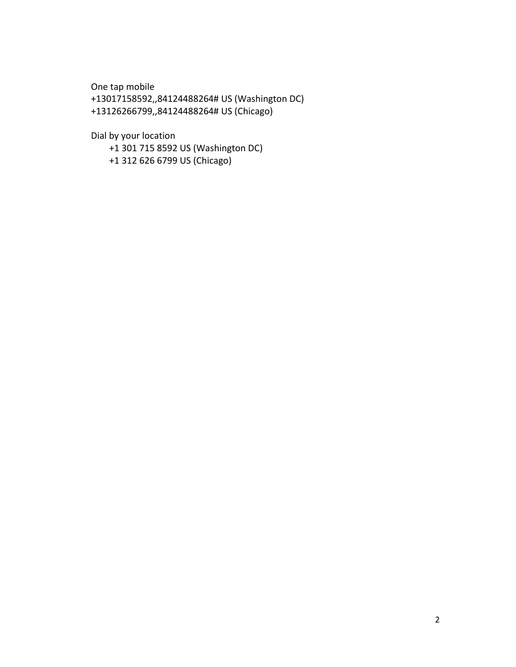One tap mobile

+13017158592,,84124488264# US (Washington DC) +13126266799,,84124488264# US (Chicago)

Dial by your location

 +1 301 715 8592 US (Washington DC) +1 312 626 6799 US (Chicago)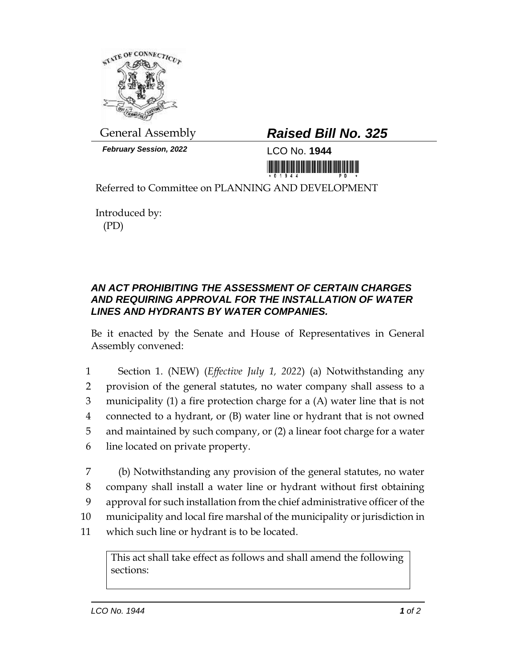

**February Session, 2022** LCO No. **1944** 

# General Assembly *Raised Bill No. 325*

<u>ni kota kota ina mwana mai utamia uli</u>

Referred to Committee on PLANNING AND DEVELOPMENT

Introduced by: (PD)

## *AN ACT PROHIBITING THE ASSESSMENT OF CERTAIN CHARGES AND REQUIRING APPROVAL FOR THE INSTALLATION OF WATER LINES AND HYDRANTS BY WATER COMPANIES.*

Be it enacted by the Senate and House of Representatives in General Assembly convened:

 Section 1. (NEW) (*Effective July 1, 2022*) (a) Notwithstanding any provision of the general statutes, no water company shall assess to a municipality (1) a fire protection charge for a (A) water line that is not connected to a hydrant, or (B) water line or hydrant that is not owned and maintained by such company, or (2) a linear foot charge for a water line located on private property.

 (b) Notwithstanding any provision of the general statutes, no water company shall install a water line or hydrant without first obtaining approval for such installation from the chief administrative officer of the municipality and local fire marshal of the municipality or jurisdiction in which such line or hydrant is to be located.

This act shall take effect as follows and shall amend the following sections: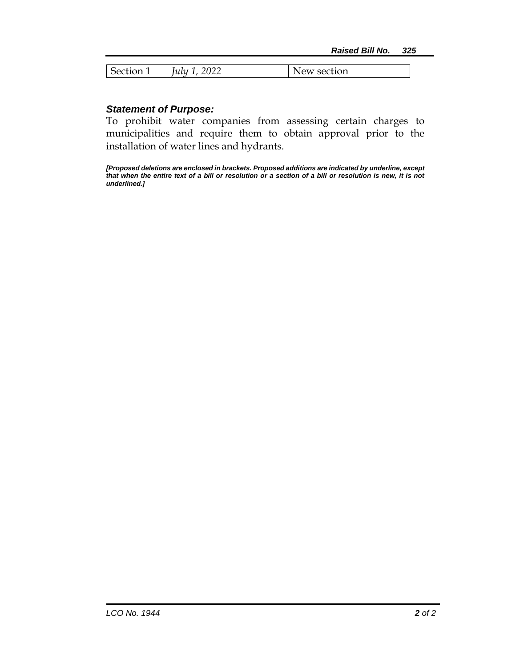| - -<br>$\sim$ | <u>വധാ</u><br>,,,,,,<br>$\mathfrak{u}\mathfrak{u}$<br>$0 - 1$ | 'tıon<br>Sec<br>NPW |
|---------------|---------------------------------------------------------------|---------------------|

### *Statement of Purpose:*

To prohibit water companies from assessing certain charges to municipalities and require them to obtain approval prior to the installation of water lines and hydrants.

*[Proposed deletions are enclosed in brackets. Proposed additions are indicated by underline, except that when the entire text of a bill or resolution or a section of a bill or resolution is new, it is not underlined.]*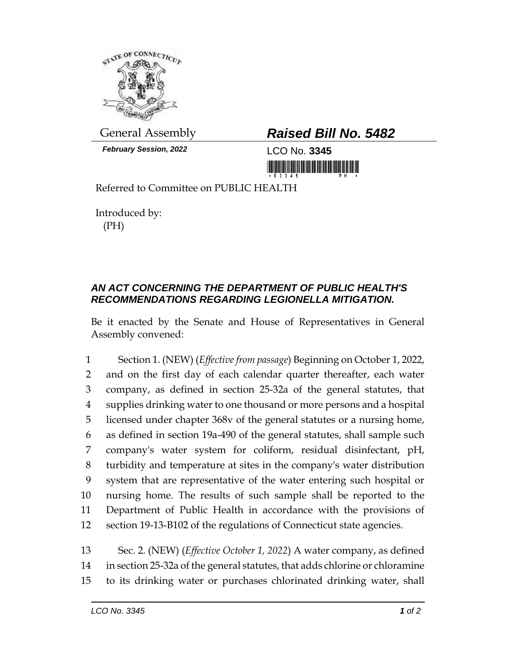

*February Session, 2022* LCO No. **3345**

# General Assembly *Raised Bill No. 5482*

<u> III maarta ka mid maarta maarta maarta maarta maarta maarta maarta maarta maarta maarta maarta maarta maarta </u>

Referred to Committee on PUBLIC HEALTH

Introduced by: (PH)

# *AN ACT CONCERNING THE DEPARTMENT OF PUBLIC HEALTH'S RECOMMENDATIONS REGARDING LEGIONELLA MITIGATION.*

Be it enacted by the Senate and House of Representatives in General Assembly convened:

 Section 1. (NEW) (*Effective from passage*) Beginning on October 1, 2022, and on the first day of each calendar quarter thereafter, each water company, as defined in section 25-32a of the general statutes, that supplies drinking water to one thousand or more persons and a hospital licensed under chapter 368v of the general statutes or a nursing home, as defined in section 19a-490 of the general statutes, shall sample such company's water system for coliform, residual disinfectant, pH, turbidity and temperature at sites in the company's water distribution system that are representative of the water entering such hospital or nursing home. The results of such sample shall be reported to the Department of Public Health in accordance with the provisions of section 19-13-B102 of the regulations of Connecticut state agencies.

13 Sec. 2. (NEW) (*Effective October 1, 2022*) A water company, as defined 14 in section 25-32a of the general statutes, that adds chlorine or chloramine 15 to its drinking water or purchases chlorinated drinking water, shall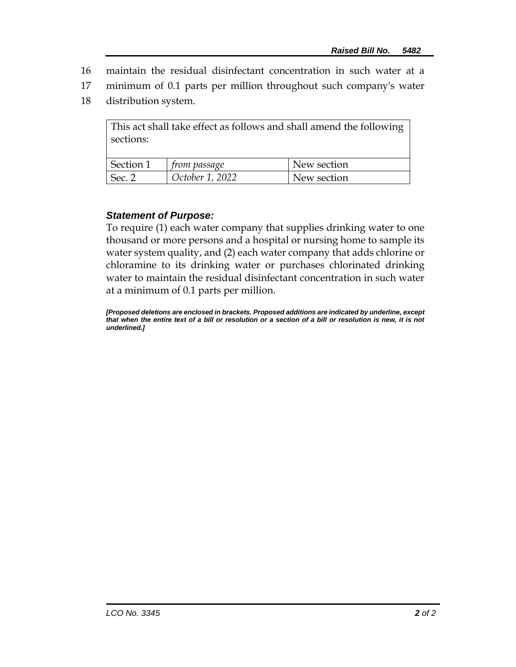- 16 maintain the residual disinfectant concentration in such water at a
- 17 minimum of 0.1 parts per million throughout such company's water
- 18 distribution system.

This act shall take effect as follows and shall amend the following sections:

| Section 1         | rom passage     | New section |
|-------------------|-----------------|-------------|
| Sec. <sup>o</sup> | October 1, 2022 | New section |

### *Statement of Purpose:*

To require (1) each water company that supplies drinking water to one thousand or more persons and a hospital or nursing home to sample its water system quality, and (2) each water company that adds chlorine or chloramine to its drinking water or purchases chlorinated drinking water to maintain the residual disinfectant concentration in such water at a minimum of 0.1 parts per million.

*[Proposed deletions are enclosed in brackets. Proposed additions are indicated by underline, except that when the entire text of a bill or resolution or a section of a bill or resolution is new, it is not underlined.]*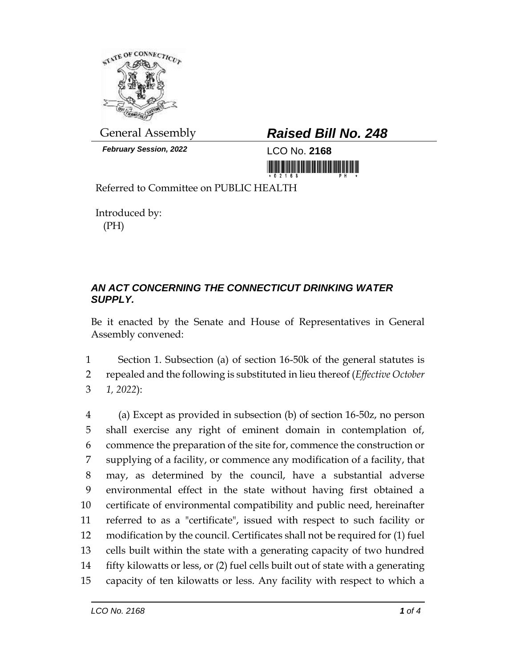

*February Session, 2022* LCO No. **2168**

# General Assembly *Raised Bill No. 248*

<u> III di kacamatan ing Kabupatèn III di kacamatan III di kacamatan III di kacamatan III di kacamatan III di kacamatan III di kacamatan III di kacamatan III di kacamatan III di kacamatan III di kacamatan III di kacamatan II</u>

Referred to Committee on PUBLIC HEALTH

Introduced by: (PH)

# *AN ACT CONCERNING THE CONNECTICUT DRINKING WATER SUPPLY.*

Be it enacted by the Senate and House of Representatives in General Assembly convened:

1 Section 1. Subsection (a) of section 16-50k of the general statutes is 2 repealed and the following is substituted in lieu thereof (*Effective October*  3 *1, 2022*):

 (a) Except as provided in subsection (b) of section 16-50z, no person shall exercise any right of eminent domain in contemplation of, commence the preparation of the site for, commence the construction or supplying of a facility, or commence any modification of a facility, that may, as determined by the council, have a substantial adverse environmental effect in the state without having first obtained a certificate of environmental compatibility and public need, hereinafter referred to as a "certificate", issued with respect to such facility or modification by the council. Certificates shall not be required for (1) fuel cells built within the state with a generating capacity of two hundred fifty kilowatts or less, or (2) fuel cells built out of state with a generating capacity of ten kilowatts or less. Any facility with respect to which a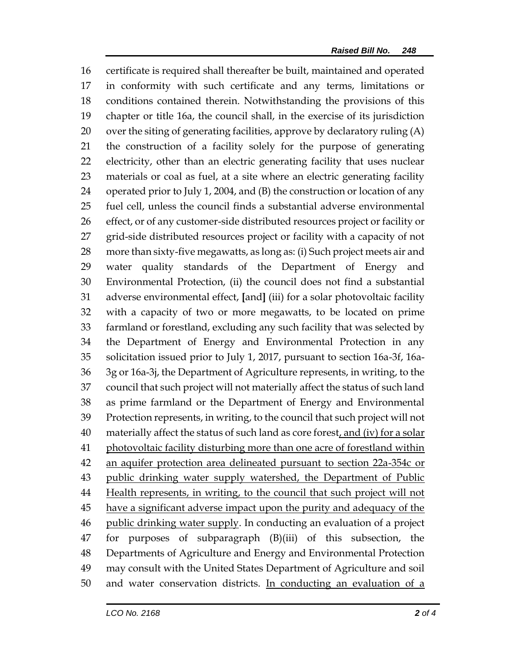certificate is required shall thereafter be built, maintained and operated in conformity with such certificate and any terms, limitations or conditions contained therein. Notwithstanding the provisions of this chapter or title 16a, the council shall, in the exercise of its jurisdiction over the siting of generating facilities, approve by declaratory ruling (A) the construction of a facility solely for the purpose of generating electricity, other than an electric generating facility that uses nuclear materials or coal as fuel, at a site where an electric generating facility operated prior to July 1, 2004, and (B) the construction or location of any fuel cell, unless the council finds a substantial adverse environmental effect, or of any customer-side distributed resources project or facility or grid-side distributed resources project or facility with a capacity of not more than sixty-five megawatts, as long as: (i) Such project meets air and water quality standards of the Department of Energy and Environmental Protection, (ii) the council does not find a substantial adverse environmental effect, **[**and**]** (iii) for a solar photovoltaic facility with a capacity of two or more megawatts, to be located on prime farmland or forestland, excluding any such facility that was selected by the Department of Energy and Environmental Protection in any solicitation issued prior to July 1, 2017, pursuant to section 16a-3f, 16a- 3g or 16a-3j, the Department of Agriculture represents, in writing, to the council that such project will not materially affect the status of such land as prime farmland or the Department of Energy and Environmental Protection represents, in writing, to the council that such project will not 40 materially affect the status of such land as core forest, and (iv) for a solar photovoltaic facility disturbing more than one acre of forestland within an aquifer protection area delineated pursuant to section 22a-354c or public drinking water supply watershed, the Department of Public Health represents, in writing, to the council that such project will not 45 have a significant adverse impact upon the purity and adequacy of the 46 public drinking water supply. In conducting an evaluation of a project for purposes of subparagraph (B)(iii) of this subsection, the Departments of Agriculture and Energy and Environmental Protection may consult with the United States Department of Agriculture and soil and water conservation districts. In conducting an evaluation of a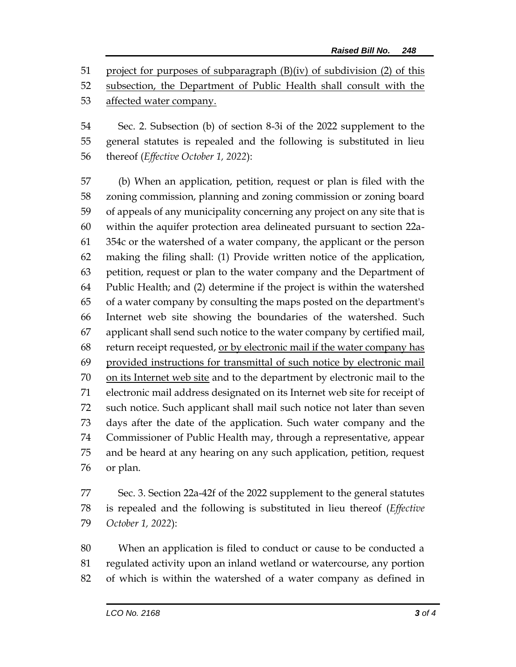project for purposes of subparagraph (B)(iv) of subdivision (2) of this

subsection, the Department of Public Health shall consult with the

affected water company.

 Sec. 2. Subsection (b) of section 8-3i of the 2022 supplement to the general statutes is repealed and the following is substituted in lieu thereof (*Effective October 1, 2022*):

 (b) When an application, petition, request or plan is filed with the zoning commission, planning and zoning commission or zoning board of appeals of any municipality concerning any project on any site that is within the aquifer protection area delineated pursuant to section 22a- 354c or the watershed of a water company, the applicant or the person making the filing shall: (1) Provide written notice of the application, petition, request or plan to the water company and the Department of Public Health; and (2) determine if the project is within the watershed of a water company by consulting the maps posted on the department's Internet web site showing the boundaries of the watershed. Such applicant shall send such notice to the water company by certified mail, return receipt requested, or by electronic mail if the water company has provided instructions for transmittal of such notice by electronic mail on its Internet web site and to the department by electronic mail to the electronic mail address designated on its Internet web site for receipt of such notice. Such applicant shall mail such notice not later than seven days after the date of the application. Such water company and the Commissioner of Public Health may, through a representative, appear and be heard at any hearing on any such application, petition, request or plan.

 Sec. 3. Section 22a-42f of the 2022 supplement to the general statutes is repealed and the following is substituted in lieu thereof (*Effective October 1, 2022*):

 When an application is filed to conduct or cause to be conducted a regulated activity upon an inland wetland or watercourse, any portion of which is within the watershed of a water company as defined in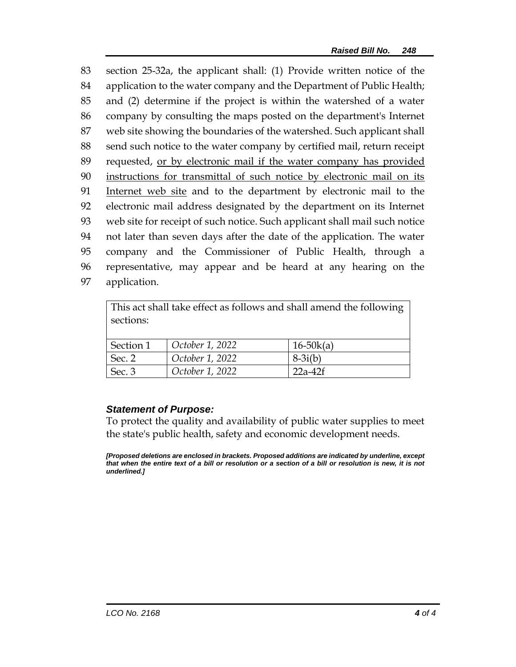section 25-32a, the applicant shall: (1) Provide written notice of the application to the water company and the Department of Public Health; and (2) determine if the project is within the watershed of a water company by consulting the maps posted on the department's Internet web site showing the boundaries of the watershed. Such applicant shall send such notice to the water company by certified mail, return receipt 89 requested, <u>or by electronic mail if the water company has provided</u> instructions for transmittal of such notice by electronic mail on its Internet web site and to the department by electronic mail to the electronic mail address designated by the department on its Internet web site for receipt of such notice. Such applicant shall mail such notice not later than seven days after the date of the application. The water company and the Commissioner of Public Health, through a representative, may appear and be heard at any hearing on the application.

| This act shall take effect as follows and shall amend the following<br>sections: |                 |               |  |
|----------------------------------------------------------------------------------|-----------------|---------------|--|
| Section 1                                                                        | October 1, 2022 | $16 - 50k(a)$ |  |
| Sec. 2                                                                           | October 1, 2022 | $8-3i(b)$     |  |
| Sec. 3                                                                           | October 1, 2022 | $22a-42f$     |  |

#### *Statement of Purpose:*

To protect the quality and availability of public water supplies to meet the state's public health, safety and economic development needs.

*[Proposed deletions are enclosed in brackets. Proposed additions are indicated by underline, except that when the entire text of a bill or resolution or a section of a bill or resolution is new, it is not underlined.]*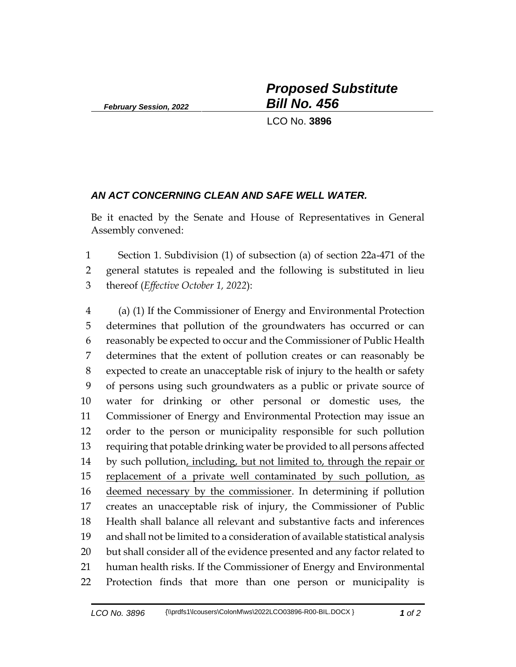*February Session, 2022*

*Proposed Substitute Bill No. 456*

LCO No. **3896**

#### *AN ACT CONCERNING CLEAN AND SAFE WELL WATER.*

Be it enacted by the Senate and House of Representatives in General Assembly convened:

 Section 1. Subdivision (1) of subsection (a) of section 22a-471 of the general statutes is repealed and the following is substituted in lieu thereof (*Effective October 1, 2022*):

 (a) (1) If the Commissioner of Energy and Environmental Protection determines that pollution of the groundwaters has occurred or can reasonably be expected to occur and the Commissioner of Public Health determines that the extent of pollution creates or can reasonably be expected to create an unacceptable risk of injury to the health or safety of persons using such groundwaters as a public or private source of water for drinking or other personal or domestic uses, the Commissioner of Energy and Environmental Protection may issue an order to the person or municipality responsible for such pollution requiring that potable drinking water be provided to all persons affected 14 by such pollution, including, but not limited to, through the repair or replacement of a private well contaminated by such pollution, as deemed necessary by the commissioner. In determining if pollution creates an unacceptable risk of injury, the Commissioner of Public Health shall balance all relevant and substantive facts and inferences and shall not be limited to a consideration of available statistical analysis but shall consider all of the evidence presented and any factor related to human health risks. If the Commissioner of Energy and Environmental Protection finds that more than one person or municipality is